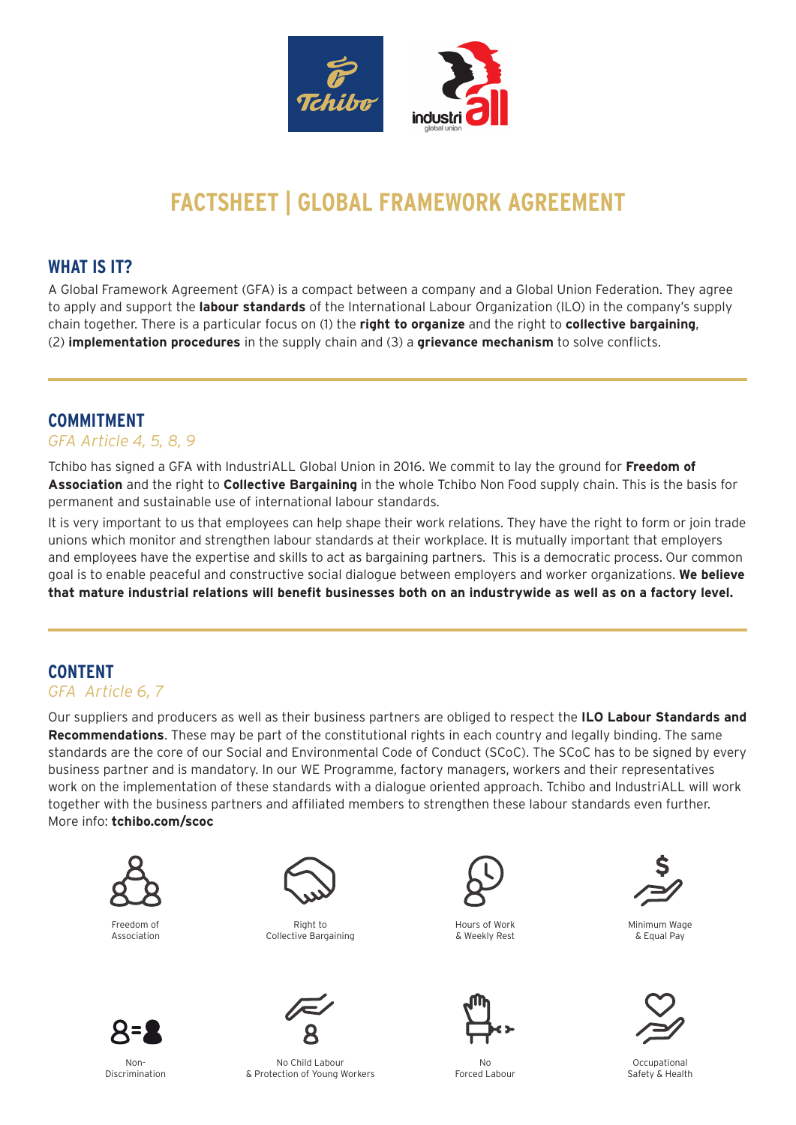

# **FACTSHEET | GLOBAL FRAMEWORK AGREEMENT**

#### **WHAT IS IT?**

A Global Framework Agreement (GFA) is a compact between a company and a Global Union Federation. They agree to apply and support the **labour standards** of the International Labour Organization (ILO) in the company's supply chain together. There is a particular focus on (1) the **right to organize** and the right to **collective bargaining**, (2) **implementation procedures** in the supply chain and (3) a **grievance mechanism** to solve conflicts.

## **COMMITMENT**

#### *GFA Article 4, 5, 8, 9*

Tchibo has signed a GFA with IndustriALL Global Union in 2016. We commit to lay the ground for **Freedom of Association** and the right to **Collective Bargaining** in the whole Tchibo Non Food supply chain. This is the basis for permanent and sustainable use of international labour standards.

It is very important to us that employees can help shape their work relations. They have the right to form or join trade unions which monitor and strengthen labour standards at their workplace. It is mutually important that employers and employees have the expertise and skills to act as bargaining partners. This is a democratic process. Our common goal is to enable peaceful and constructive social dialogue between employers and worker organizations. **We believe that mature industrial relations will benefit businesses both on an industrywide as well as on a factory level.**

## **CONTENT**

#### *GFA Article 6, 7*

Our suppliers and producers as well as their business partners are obliged to respect the **ILO Labour Standards and Recommendations**. These may be part of the constitutional rights in each country and legally binding. The same standards are the core of our Social and Environmental Code of Conduct (SCoC). The SCoC has to be signed by every business partner and is mandatory. In our WE Programme, factory managers, workers and their representatives work on the implementation of these standards with a dialogue oriented approach. Tchibo and IndustriALL will work together with the business partners and affiliated members to strengthen these labour standards even further. More info: **[tchibo.com/scoc](https://tchibo.com/scoc)**



Freedom of Association



Right to Collective Bargaining



Hours of Work & Weekly Rest



No Forced Labour



Minimum Wage & Equal Pay



Occupational Safety & Health

Non-Discrimination

No Child Labour & Protection of Young Workers